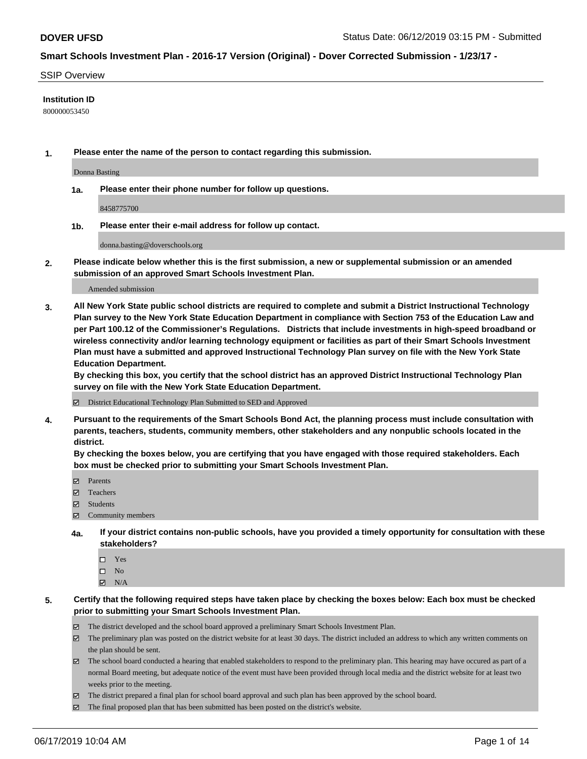#### SSIP Overview

#### **Institution ID**

800000053450

**1. Please enter the name of the person to contact regarding this submission.**

Donna Basting

**1a. Please enter their phone number for follow up questions.**

8458775700

**1b. Please enter their e-mail address for follow up contact.**

donna.basting@doverschools.org

**2. Please indicate below whether this is the first submission, a new or supplemental submission or an amended submission of an approved Smart Schools Investment Plan.**

#### Amended submission

**3. All New York State public school districts are required to complete and submit a District Instructional Technology Plan survey to the New York State Education Department in compliance with Section 753 of the Education Law and per Part 100.12 of the Commissioner's Regulations. Districts that include investments in high-speed broadband or wireless connectivity and/or learning technology equipment or facilities as part of their Smart Schools Investment Plan must have a submitted and approved Instructional Technology Plan survey on file with the New York State Education Department.** 

**By checking this box, you certify that the school district has an approved District Instructional Technology Plan survey on file with the New York State Education Department.**

District Educational Technology Plan Submitted to SED and Approved

**4. Pursuant to the requirements of the Smart Schools Bond Act, the planning process must include consultation with parents, teachers, students, community members, other stakeholders and any nonpublic schools located in the district.** 

**By checking the boxes below, you are certifying that you have engaged with those required stakeholders. Each box must be checked prior to submitting your Smart Schools Investment Plan.**

- Parents
- Teachers
- Students
- Community members
- **4a. If your district contains non-public schools, have you provided a timely opportunity for consultation with these stakeholders?**
	- □ Yes
	- $\square$  No
	- $N/A$
- **5. Certify that the following required steps have taken place by checking the boxes below: Each box must be checked prior to submitting your Smart Schools Investment Plan.**
	- The district developed and the school board approved a preliminary Smart Schools Investment Plan.
	- $\boxtimes$  The preliminary plan was posted on the district website for at least 30 days. The district included an address to which any written comments on the plan should be sent.
	- The school board conducted a hearing that enabled stakeholders to respond to the preliminary plan. This hearing may have occured as part of a normal Board meeting, but adequate notice of the event must have been provided through local media and the district website for at least two weeks prior to the meeting.
	- The district prepared a final plan for school board approval and such plan has been approved by the school board.
	- $\boxtimes$  The final proposed plan that has been submitted has been posted on the district's website.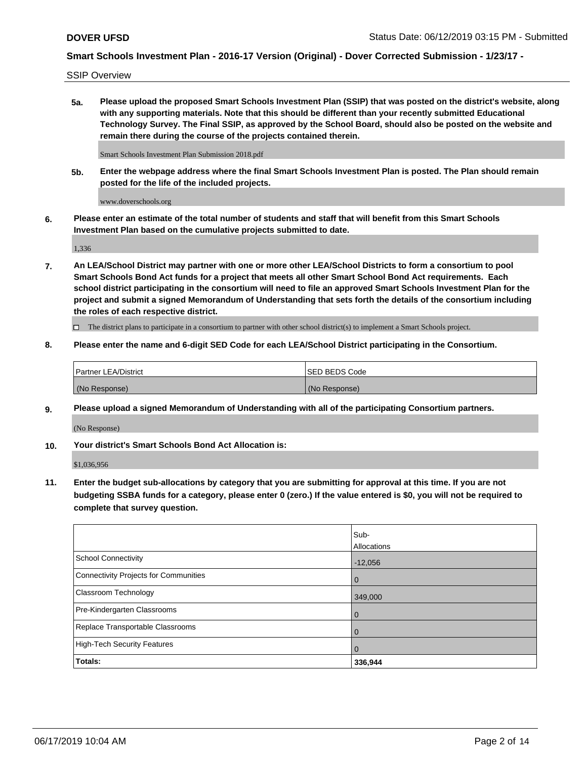SSIP Overview

**5a. Please upload the proposed Smart Schools Investment Plan (SSIP) that was posted on the district's website, along with any supporting materials. Note that this should be different than your recently submitted Educational Technology Survey. The Final SSIP, as approved by the School Board, should also be posted on the website and remain there during the course of the projects contained therein.**

Smart Schools Investment Plan Submission 2018.pdf

**5b. Enter the webpage address where the final Smart Schools Investment Plan is posted. The Plan should remain posted for the life of the included projects.**

www.doverschools.org

**6. Please enter an estimate of the total number of students and staff that will benefit from this Smart Schools Investment Plan based on the cumulative projects submitted to date.**

1,336

**7. An LEA/School District may partner with one or more other LEA/School Districts to form a consortium to pool Smart Schools Bond Act funds for a project that meets all other Smart School Bond Act requirements. Each school district participating in the consortium will need to file an approved Smart Schools Investment Plan for the project and submit a signed Memorandum of Understanding that sets forth the details of the consortium including the roles of each respective district.**

 $\Box$  The district plans to participate in a consortium to partner with other school district(s) to implement a Smart Schools project.

### **8. Please enter the name and 6-digit SED Code for each LEA/School District participating in the Consortium.**

| Partner LEA/District | <b>ISED BEDS Code</b> |
|----------------------|-----------------------|
| (No Response)        | (No Response)         |

### **9. Please upload a signed Memorandum of Understanding with all of the participating Consortium partners.**

(No Response)

**10. Your district's Smart Schools Bond Act Allocation is:**

\$1,036,956

**11. Enter the budget sub-allocations by category that you are submitting for approval at this time. If you are not budgeting SSBA funds for a category, please enter 0 (zero.) If the value entered is \$0, you will not be required to complete that survey question.**

|                                       | Sub-<br>Allocations |
|---------------------------------------|---------------------|
| School Connectivity                   | $-12,056$           |
| Connectivity Projects for Communities | $\overline{0}$      |
| <b>Classroom Technology</b>           | 349,000             |
| Pre-Kindergarten Classrooms           | $\overline{0}$      |
| Replace Transportable Classrooms      | $\Omega$            |
| High-Tech Security Features           | $\overline{0}$      |
| Totals:                               | 336,944             |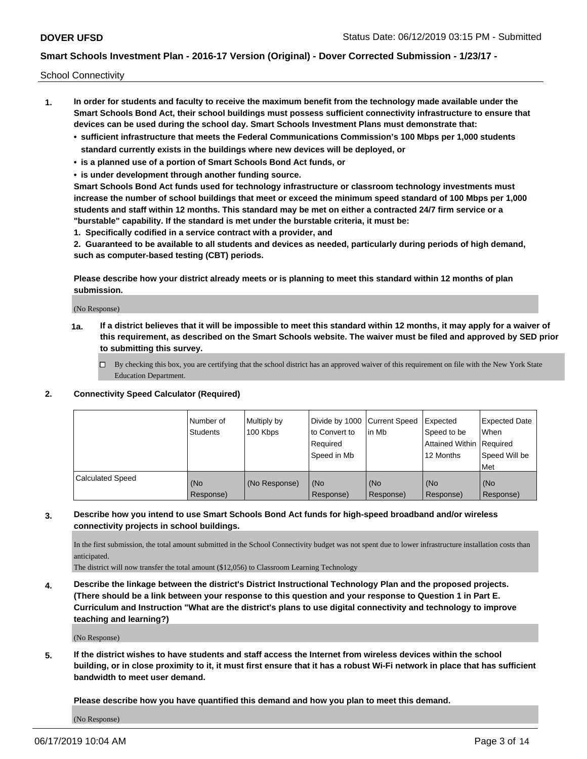School Connectivity

- **1. In order for students and faculty to receive the maximum benefit from the technology made available under the Smart Schools Bond Act, their school buildings must possess sufficient connectivity infrastructure to ensure that devices can be used during the school day. Smart Schools Investment Plans must demonstrate that:**
	- **• sufficient infrastructure that meets the Federal Communications Commission's 100 Mbps per 1,000 students standard currently exists in the buildings where new devices will be deployed, or**
	- **• is a planned use of a portion of Smart Schools Bond Act funds, or**
	- **• is under development through another funding source.**

**Smart Schools Bond Act funds used for technology infrastructure or classroom technology investments must increase the number of school buildings that meet or exceed the minimum speed standard of 100 Mbps per 1,000 students and staff within 12 months. This standard may be met on either a contracted 24/7 firm service or a "burstable" capability. If the standard is met under the burstable criteria, it must be:**

**1. Specifically codified in a service contract with a provider, and**

**2. Guaranteed to be available to all students and devices as needed, particularly during periods of high demand, such as computer-based testing (CBT) periods.**

**Please describe how your district already meets or is planning to meet this standard within 12 months of plan submission.**

(No Response)

**1a. If a district believes that it will be impossible to meet this standard within 12 months, it may apply for a waiver of this requirement, as described on the Smart Schools website. The waiver must be filed and approved by SED prior to submitting this survey.**

 $\Box$  By checking this box, you are certifying that the school district has an approved waiver of this requirement on file with the New York State Education Department.

#### **2. Connectivity Speed Calculator (Required)**

|                         | Number of<br><b>Students</b> | Multiply by<br>100 Kbps | Divide by 1000 Current Speed<br>to Convert to<br>Required<br>Speed in Mb | lin Mb           | Expected<br>Speed to be<br>Attained Within   Required<br>12 Months | <b>Expected Date</b><br>When<br>Speed Will be<br>Met |
|-------------------------|------------------------------|-------------------------|--------------------------------------------------------------------------|------------------|--------------------------------------------------------------------|------------------------------------------------------|
| <b>Calculated Speed</b> | (No<br>Response)             | (No Response)           | (No<br>Response)                                                         | (No<br>Response) | (No<br>Response)                                                   | (No<br>Response)                                     |

### **3. Describe how you intend to use Smart Schools Bond Act funds for high-speed broadband and/or wireless connectivity projects in school buildings.**

In the first submission, the total amount submitted in the School Connectivity budget was not spent due to lower infrastructure installation costs than anticipated.

The district will now transfer the total amount (\$12,056) to Classroom Learning Technology

**4. Describe the linkage between the district's District Instructional Technology Plan and the proposed projects. (There should be a link between your response to this question and your response to Question 1 in Part E. Curriculum and Instruction "What are the district's plans to use digital connectivity and technology to improve teaching and learning?)**

(No Response)

**5. If the district wishes to have students and staff access the Internet from wireless devices within the school building, or in close proximity to it, it must first ensure that it has a robust Wi-Fi network in place that has sufficient bandwidth to meet user demand.**

**Please describe how you have quantified this demand and how you plan to meet this demand.**

(No Response)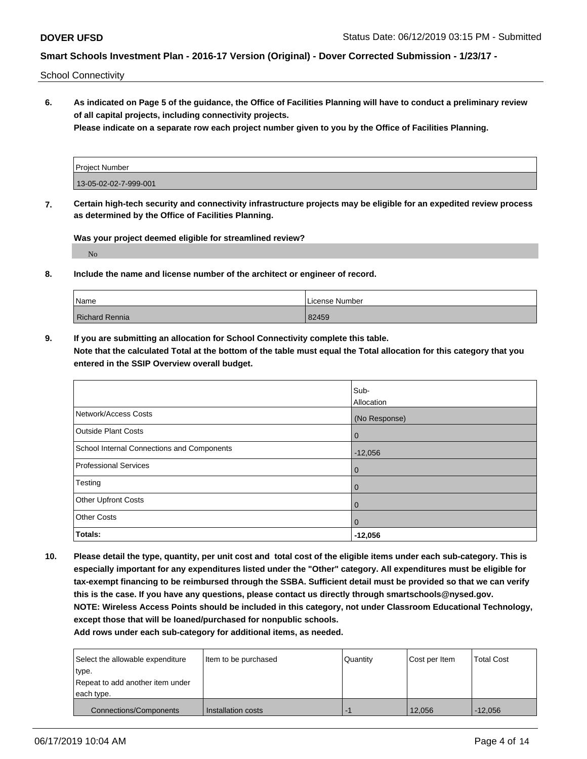School Connectivity

**6. As indicated on Page 5 of the guidance, the Office of Facilities Planning will have to conduct a preliminary review of all capital projects, including connectivity projects.**

**Please indicate on a separate row each project number given to you by the Office of Facilities Planning.**

| Project Number        |  |
|-----------------------|--|
| 13-05-02-02-7-999-001 |  |

**7. Certain high-tech security and connectivity infrastructure projects may be eligible for an expedited review process as determined by the Office of Facilities Planning.**

**Was your project deemed eligible for streamlined review?**

No

**8. Include the name and license number of the architect or engineer of record.**

| Name                  | License Number |  |  |
|-----------------------|----------------|--|--|
| <b>Richard Rennia</b> | 82459          |  |  |

**9. If you are submitting an allocation for School Connectivity complete this table. Note that the calculated Total at the bottom of the table must equal the Total allocation for this category that you entered in the SSIP Overview overall budget.** 

|                                            | Sub-<br>Allocation |
|--------------------------------------------|--------------------|
| Network/Access Costs                       | (No Response)      |
| <b>Outside Plant Costs</b>                 | $\overline{0}$     |
| School Internal Connections and Components | $-12,056$          |
| <b>Professional Services</b>               | $\overline{0}$     |
| Testing                                    | $\overline{0}$     |
| <b>Other Upfront Costs</b>                 | $\overline{0}$     |
| <b>Other Costs</b>                         | $\overline{0}$     |
| Totals:                                    | $-12,056$          |

**10. Please detail the type, quantity, per unit cost and total cost of the eligible items under each sub-category. This is especially important for any expenditures listed under the "Other" category. All expenditures must be eligible for tax-exempt financing to be reimbursed through the SSBA. Sufficient detail must be provided so that we can verify this is the case. If you have any questions, please contact us directly through smartschools@nysed.gov. NOTE: Wireless Access Points should be included in this category, not under Classroom Educational Technology, except those that will be loaned/purchased for nonpublic schools.**

| Select the allowable expenditure | Item to be purchased | Quantity | Cost per Item | <b>Total Cost</b> |
|----------------------------------|----------------------|----------|---------------|-------------------|
| type.                            |                      |          |               |                   |
| Repeat to add another item under |                      |          |               |                   |
| each type.                       |                      |          |               |                   |
| Connections/Components           | Installation costs   | ÷        | 12.056        | $-12.056$         |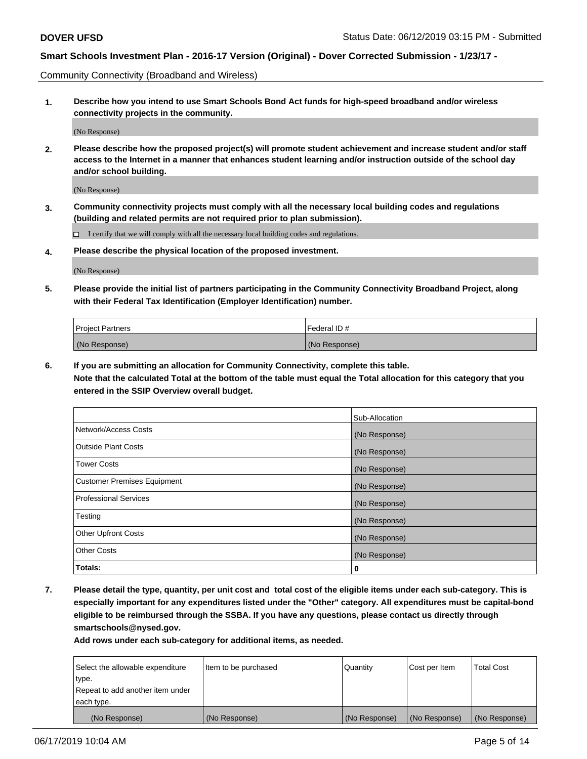Community Connectivity (Broadband and Wireless)

**1. Describe how you intend to use Smart Schools Bond Act funds for high-speed broadband and/or wireless connectivity projects in the community.**

(No Response)

**2. Please describe how the proposed project(s) will promote student achievement and increase student and/or staff access to the Internet in a manner that enhances student learning and/or instruction outside of the school day and/or school building.**

(No Response)

**3. Community connectivity projects must comply with all the necessary local building codes and regulations (building and related permits are not required prior to plan submission).**

 $\Box$  I certify that we will comply with all the necessary local building codes and regulations.

**4. Please describe the physical location of the proposed investment.**

(No Response)

**5. Please provide the initial list of partners participating in the Community Connectivity Broadband Project, along with their Federal Tax Identification (Employer Identification) number.**

| <b>Project Partners</b> | Federal ID#   |
|-------------------------|---------------|
| (No Response)           | (No Response) |

**6. If you are submitting an allocation for Community Connectivity, complete this table.**

**Note that the calculated Total at the bottom of the table must equal the Total allocation for this category that you entered in the SSIP Overview overall budget.**

|                                    | Sub-Allocation |
|------------------------------------|----------------|
| Network/Access Costs               | (No Response)  |
| <b>Outside Plant Costs</b>         | (No Response)  |
| <b>Tower Costs</b>                 | (No Response)  |
| <b>Customer Premises Equipment</b> | (No Response)  |
| <b>Professional Services</b>       | (No Response)  |
| Testing                            | (No Response)  |
| <b>Other Upfront Costs</b>         | (No Response)  |
| <b>Other Costs</b>                 | (No Response)  |
| Totals:                            | 0              |

**7. Please detail the type, quantity, per unit cost and total cost of the eligible items under each sub-category. This is especially important for any expenditures listed under the "Other" category. All expenditures must be capital-bond eligible to be reimbursed through the SSBA. If you have any questions, please contact us directly through smartschools@nysed.gov.**

| Select the allowable expenditure | Item to be purchased | Quantity      | Cost per Item | <b>Total Cost</b> |
|----------------------------------|----------------------|---------------|---------------|-------------------|
| type.                            |                      |               |               |                   |
| Repeat to add another item under |                      |               |               |                   |
| each type.                       |                      |               |               |                   |
| (No Response)                    | (No Response)        | (No Response) | (No Response) | (No Response)     |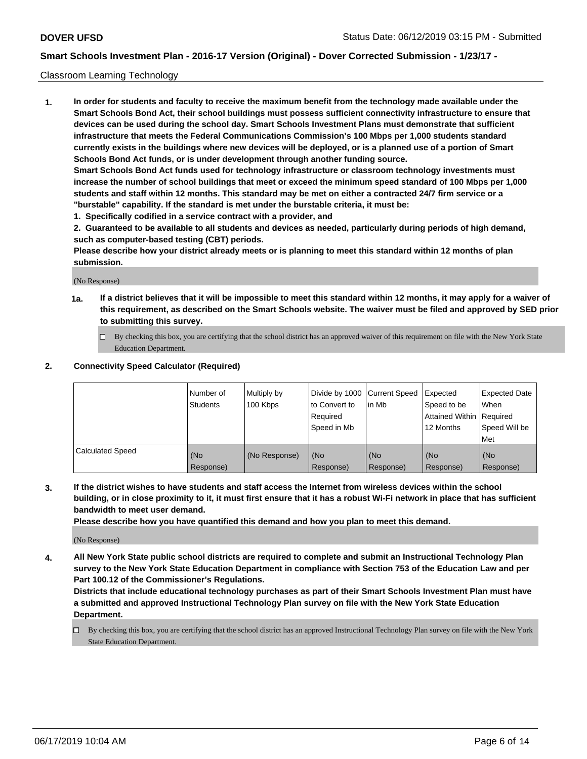### Classroom Learning Technology

**1. In order for students and faculty to receive the maximum benefit from the technology made available under the Smart Schools Bond Act, their school buildings must possess sufficient connectivity infrastructure to ensure that devices can be used during the school day. Smart Schools Investment Plans must demonstrate that sufficient infrastructure that meets the Federal Communications Commission's 100 Mbps per 1,000 students standard currently exists in the buildings where new devices will be deployed, or is a planned use of a portion of Smart Schools Bond Act funds, or is under development through another funding source. Smart Schools Bond Act funds used for technology infrastructure or classroom technology investments must increase the number of school buildings that meet or exceed the minimum speed standard of 100 Mbps per 1,000 students and staff within 12 months. This standard may be met on either a contracted 24/7 firm service or a "burstable" capability. If the standard is met under the burstable criteria, it must be:**

**1. Specifically codified in a service contract with a provider, and**

**2. Guaranteed to be available to all students and devices as needed, particularly during periods of high demand, such as computer-based testing (CBT) periods.**

**Please describe how your district already meets or is planning to meet this standard within 12 months of plan submission.**

(No Response)

- **1a. If a district believes that it will be impossible to meet this standard within 12 months, it may apply for a waiver of this requirement, as described on the Smart Schools website. The waiver must be filed and approved by SED prior to submitting this survey.**
	- $\Box$  By checking this box, you are certifying that the school district has an approved waiver of this requirement on file with the New York State Education Department.

#### **2. Connectivity Speed Calculator (Required)**

|                         | Number of<br><b>Students</b> | Multiply by<br>100 Kbps | Divide by 1000   Current Speed<br>to Convert to<br>Reauired<br>Speed in Mb | lin Mb           | Expected<br>Speed to be<br>Attained Within   Required<br>12 Months | <b>Expected Date</b><br>When<br>Speed Will be<br>Met |
|-------------------------|------------------------------|-------------------------|----------------------------------------------------------------------------|------------------|--------------------------------------------------------------------|------------------------------------------------------|
| <b>Calculated Speed</b> | (No<br>Response)             | (No Response)           | (No<br>Response)                                                           | (No<br>Response) | (No<br>Response)                                                   | (No<br>Response)                                     |

**3. If the district wishes to have students and staff access the Internet from wireless devices within the school building, or in close proximity to it, it must first ensure that it has a robust Wi-Fi network in place that has sufficient bandwidth to meet user demand.**

**Please describe how you have quantified this demand and how you plan to meet this demand.**

(No Response)

**4. All New York State public school districts are required to complete and submit an Instructional Technology Plan survey to the New York State Education Department in compliance with Section 753 of the Education Law and per Part 100.12 of the Commissioner's Regulations.**

**Districts that include educational technology purchases as part of their Smart Schools Investment Plan must have a submitted and approved Instructional Technology Plan survey on file with the New York State Education Department.**

 $\Box$  By checking this box, you are certifying that the school district has an approved Instructional Technology Plan survey on file with the New York State Education Department.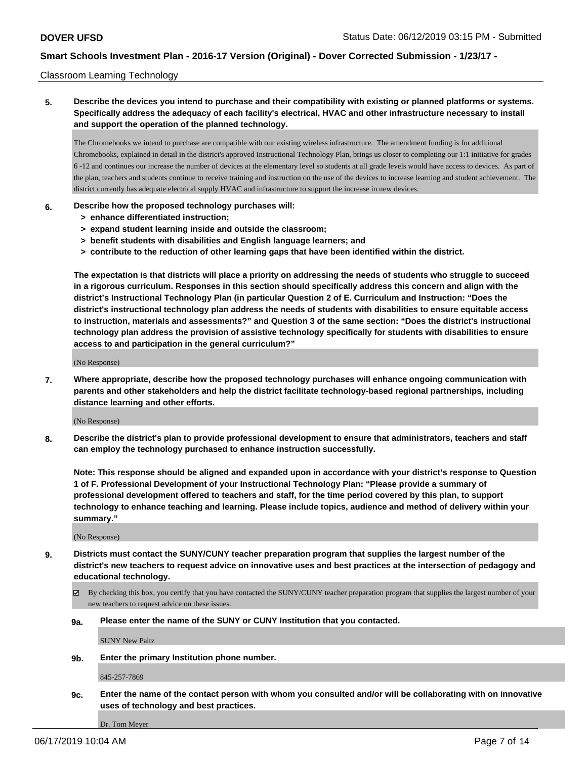#### Classroom Learning Technology

## **5. Describe the devices you intend to purchase and their compatibility with existing or planned platforms or systems. Specifically address the adequacy of each facility's electrical, HVAC and other infrastructure necessary to install and support the operation of the planned technology.**

The Chromebooks we intend to purchase are compatible with our existing wireless infrastructure. The amendment funding is for additional Chromebooks, explained in detail in the district's approved Instructional Technology Plan, brings us closer to completing our 1:1 initiative for grades 6 -12 and continues our increase the number of devices at the elementary level so students at all grade levels would have access to devices. As part of the plan, teachers and students continue to receive training and instruction on the use of the devices to increase learning and student achievement. The district currently has adequate electrical supply HVAC and infrastructure to support the increase in new devices.

#### **6. Describe how the proposed technology purchases will:**

- **> enhance differentiated instruction;**
- **> expand student learning inside and outside the classroom;**
- **> benefit students with disabilities and English language learners; and**
- **> contribute to the reduction of other learning gaps that have been identified within the district.**

**The expectation is that districts will place a priority on addressing the needs of students who struggle to succeed in a rigorous curriculum. Responses in this section should specifically address this concern and align with the district's Instructional Technology Plan (in particular Question 2 of E. Curriculum and Instruction: "Does the district's instructional technology plan address the needs of students with disabilities to ensure equitable access to instruction, materials and assessments?" and Question 3 of the same section: "Does the district's instructional technology plan address the provision of assistive technology specifically for students with disabilities to ensure access to and participation in the general curriculum?"**

(No Response)

**7. Where appropriate, describe how the proposed technology purchases will enhance ongoing communication with parents and other stakeholders and help the district facilitate technology-based regional partnerships, including distance learning and other efforts.**

(No Response)

**8. Describe the district's plan to provide professional development to ensure that administrators, teachers and staff can employ the technology purchased to enhance instruction successfully.**

**Note: This response should be aligned and expanded upon in accordance with your district's response to Question 1 of F. Professional Development of your Instructional Technology Plan: "Please provide a summary of professional development offered to teachers and staff, for the time period covered by this plan, to support technology to enhance teaching and learning. Please include topics, audience and method of delivery within your summary."**

(No Response)

- **9. Districts must contact the SUNY/CUNY teacher preparation program that supplies the largest number of the district's new teachers to request advice on innovative uses and best practices at the intersection of pedagogy and educational technology.**
	- By checking this box, you certify that you have contacted the SUNY/CUNY teacher preparation program that supplies the largest number of your new teachers to request advice on these issues.
	- **9a. Please enter the name of the SUNY or CUNY Institution that you contacted.**

SUNY New Paltz

**9b. Enter the primary Institution phone number.**

845-257-7869

**9c. Enter the name of the contact person with whom you consulted and/or will be collaborating with on innovative uses of technology and best practices.**

Dr. Tom Meyer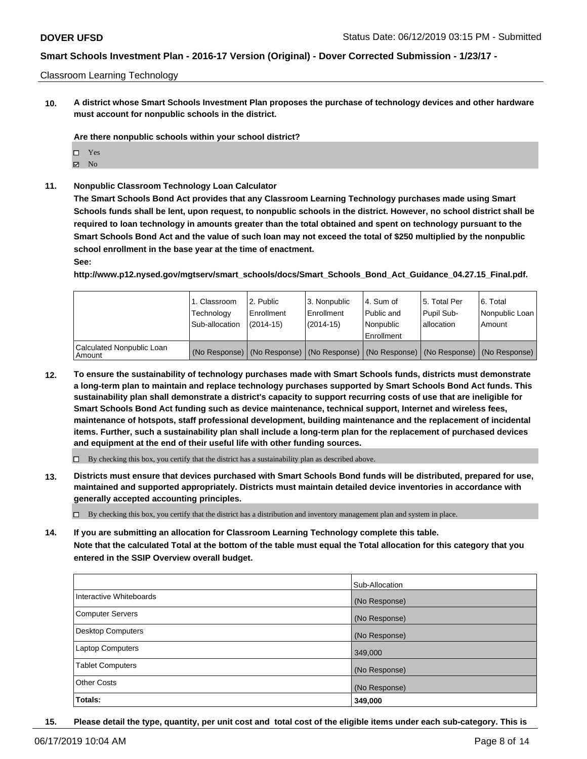#### Classroom Learning Technology

**10. A district whose Smart Schools Investment Plan proposes the purchase of technology devices and other hardware must account for nonpublic schools in the district.**

**Are there nonpublic schools within your school district?**

- Yes
- $\boxtimes$  No
- **11. Nonpublic Classroom Technology Loan Calculator**

**The Smart Schools Bond Act provides that any Classroom Learning Technology purchases made using Smart Schools funds shall be lent, upon request, to nonpublic schools in the district. However, no school district shall be required to loan technology in amounts greater than the total obtained and spent on technology pursuant to the Smart Schools Bond Act and the value of such loan may not exceed the total of \$250 multiplied by the nonpublic school enrollment in the base year at the time of enactment.**

**See:**

**http://www.p12.nysed.gov/mgtserv/smart\_schools/docs/Smart\_Schools\_Bond\_Act\_Guidance\_04.27.15\_Final.pdf.**

|                                       | 1. Classroom<br>Technology<br>Sub-allocation | 2. Public<br>Enrollment<br>$(2014 - 15)$ | l 3. Nonpublic<br>Enrollment<br>(2014-15) | l 4. Sum of<br>Public and<br>l Nonpublic<br>Enrollment | 15. Total Per<br>Pupil Sub-<br>l allocation | 6. Total<br>Nonpublic Loan I<br>Amount                                                        |
|---------------------------------------|----------------------------------------------|------------------------------------------|-------------------------------------------|--------------------------------------------------------|---------------------------------------------|-----------------------------------------------------------------------------------------------|
| Calculated Nonpublic Loan<br>l Amount |                                              |                                          |                                           |                                                        |                                             | (No Response)   (No Response)   (No Response)   (No Response)   (No Response)   (No Response) |

**12. To ensure the sustainability of technology purchases made with Smart Schools funds, districts must demonstrate a long-term plan to maintain and replace technology purchases supported by Smart Schools Bond Act funds. This sustainability plan shall demonstrate a district's capacity to support recurring costs of use that are ineligible for Smart Schools Bond Act funding such as device maintenance, technical support, Internet and wireless fees, maintenance of hotspots, staff professional development, building maintenance and the replacement of incidental items. Further, such a sustainability plan shall include a long-term plan for the replacement of purchased devices and equipment at the end of their useful life with other funding sources.**

 $\Box$  By checking this box, you certify that the district has a sustainability plan as described above.

**13. Districts must ensure that devices purchased with Smart Schools Bond funds will be distributed, prepared for use, maintained and supported appropriately. Districts must maintain detailed device inventories in accordance with generally accepted accounting principles.**

By checking this box, you certify that the district has a distribution and inventory management plan and system in place.

**14. If you are submitting an allocation for Classroom Learning Technology complete this table.**

**Note that the calculated Total at the bottom of the table must equal the Total allocation for this category that you entered in the SSIP Overview overall budget.**

|                          | Sub-Allocation |
|--------------------------|----------------|
| Interactive Whiteboards  | (No Response)  |
| Computer Servers         | (No Response)  |
| <b>Desktop Computers</b> | (No Response)  |
| <b>Laptop Computers</b>  | 349,000        |
| <b>Tablet Computers</b>  | (No Response)  |
| <b>Other Costs</b>       | (No Response)  |
| Totals:                  | 349,000        |

**15. Please detail the type, quantity, per unit cost and total cost of the eligible items under each sub-category. This is**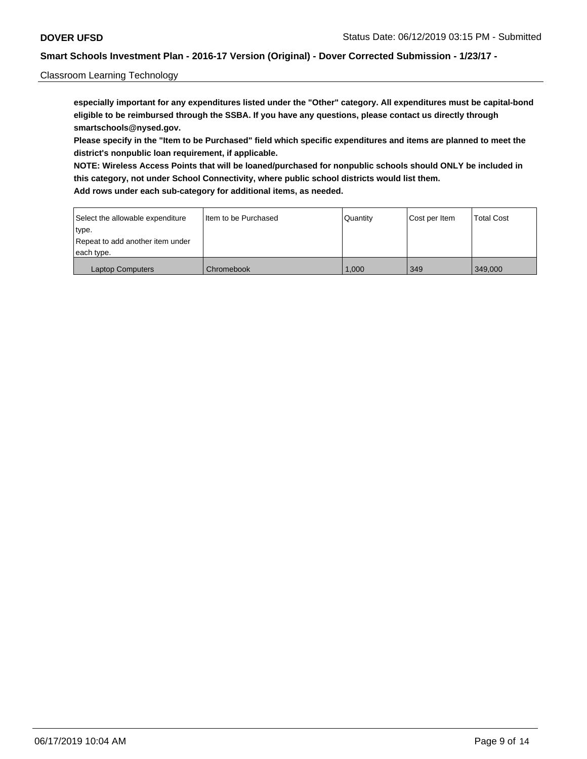### Classroom Learning Technology

**especially important for any expenditures listed under the "Other" category. All expenditures must be capital-bond eligible to be reimbursed through the SSBA. If you have any questions, please contact us directly through smartschools@nysed.gov.**

**Please specify in the "Item to be Purchased" field which specific expenditures and items are planned to meet the district's nonpublic loan requirement, if applicable.**

**NOTE: Wireless Access Points that will be loaned/purchased for nonpublic schools should ONLY be included in this category, not under School Connectivity, where public school districts would list them. Add rows under each sub-category for additional items, as needed.**

| Select the allowable expenditure | I Item to be Purchased | Quantity | Cost per Item | <b>Total Cost</b> |
|----------------------------------|------------------------|----------|---------------|-------------------|
| type.                            |                        |          |               |                   |
| Repeat to add another item under |                        |          |               |                   |
| each type.                       |                        |          |               |                   |
| <b>Laptop Computers</b>          | Chromebook             | 1.000    | 349           | 349,000           |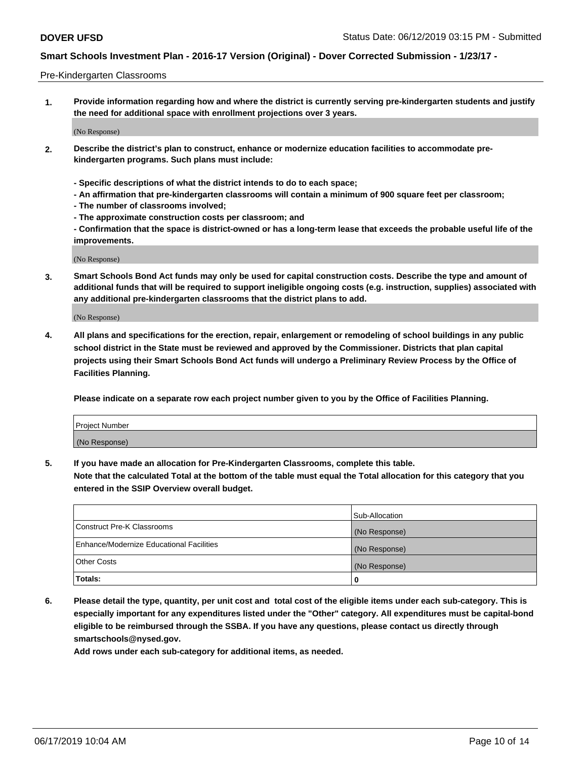#### Pre-Kindergarten Classrooms

**1. Provide information regarding how and where the district is currently serving pre-kindergarten students and justify the need for additional space with enrollment projections over 3 years.**

(No Response)

- **2. Describe the district's plan to construct, enhance or modernize education facilities to accommodate prekindergarten programs. Such plans must include:**
	- **Specific descriptions of what the district intends to do to each space;**
	- **An affirmation that pre-kindergarten classrooms will contain a minimum of 900 square feet per classroom;**
	- **The number of classrooms involved;**
	- **The approximate construction costs per classroom; and**
	- **Confirmation that the space is district-owned or has a long-term lease that exceeds the probable useful life of the improvements.**

(No Response)

**3. Smart Schools Bond Act funds may only be used for capital construction costs. Describe the type and amount of additional funds that will be required to support ineligible ongoing costs (e.g. instruction, supplies) associated with any additional pre-kindergarten classrooms that the district plans to add.**

(No Response)

**4. All plans and specifications for the erection, repair, enlargement or remodeling of school buildings in any public school district in the State must be reviewed and approved by the Commissioner. Districts that plan capital projects using their Smart Schools Bond Act funds will undergo a Preliminary Review Process by the Office of Facilities Planning.**

**Please indicate on a separate row each project number given to you by the Office of Facilities Planning.**

| Project Number |  |
|----------------|--|
| (No Response)  |  |
|                |  |

**5. If you have made an allocation for Pre-Kindergarten Classrooms, complete this table.**

**Note that the calculated Total at the bottom of the table must equal the Total allocation for this category that you entered in the SSIP Overview overall budget.**

|                                          | Sub-Allocation |
|------------------------------------------|----------------|
| Construct Pre-K Classrooms               | (No Response)  |
| Enhance/Modernize Educational Facilities | (No Response)  |
| <b>Other Costs</b>                       | (No Response)  |
| Totals:                                  | 0              |

**6. Please detail the type, quantity, per unit cost and total cost of the eligible items under each sub-category. This is especially important for any expenditures listed under the "Other" category. All expenditures must be capital-bond eligible to be reimbursed through the SSBA. If you have any questions, please contact us directly through smartschools@nysed.gov.**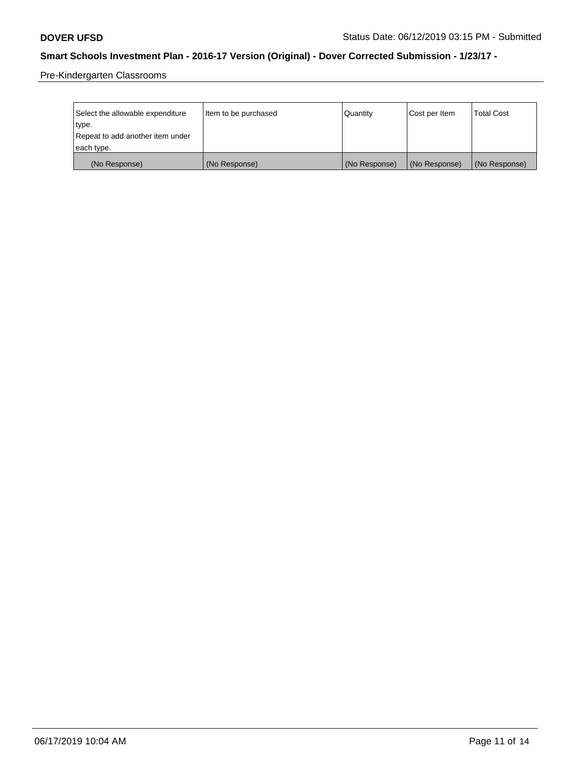Pre-Kindergarten Classrooms

| Select the allowable expenditure | Item to be purchased | Quantity      | Cost per Item | <b>Total Cost</b> |
|----------------------------------|----------------------|---------------|---------------|-------------------|
| type.                            |                      |               |               |                   |
| Repeat to add another item under |                      |               |               |                   |
| each type.                       |                      |               |               |                   |
| (No Response)                    | (No Response)        | (No Response) | (No Response) | (No Response)     |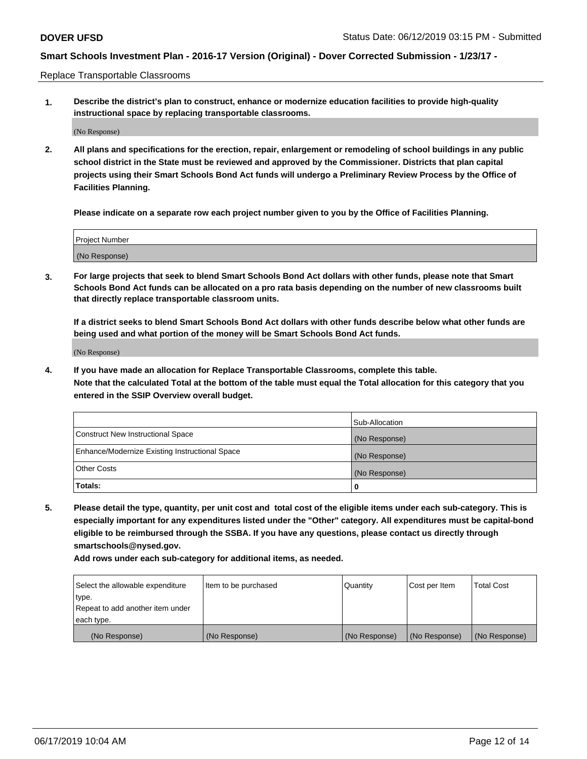Replace Transportable Classrooms

**1. Describe the district's plan to construct, enhance or modernize education facilities to provide high-quality instructional space by replacing transportable classrooms.**

(No Response)

**2. All plans and specifications for the erection, repair, enlargement or remodeling of school buildings in any public school district in the State must be reviewed and approved by the Commissioner. Districts that plan capital projects using their Smart Schools Bond Act funds will undergo a Preliminary Review Process by the Office of Facilities Planning.**

**Please indicate on a separate row each project number given to you by the Office of Facilities Planning.**

| Project Number |  |
|----------------|--|
|                |  |
|                |  |
|                |  |
|                |  |
| (No Response)  |  |
|                |  |
|                |  |
|                |  |

**3. For large projects that seek to blend Smart Schools Bond Act dollars with other funds, please note that Smart Schools Bond Act funds can be allocated on a pro rata basis depending on the number of new classrooms built that directly replace transportable classroom units.**

**If a district seeks to blend Smart Schools Bond Act dollars with other funds describe below what other funds are being used and what portion of the money will be Smart Schools Bond Act funds.**

(No Response)

**4. If you have made an allocation for Replace Transportable Classrooms, complete this table. Note that the calculated Total at the bottom of the table must equal the Total allocation for this category that you entered in the SSIP Overview overall budget.**

|                                                | Sub-Allocation |
|------------------------------------------------|----------------|
| Construct New Instructional Space              | (No Response)  |
| Enhance/Modernize Existing Instructional Space | (No Response)  |
| <b>Other Costs</b>                             | (No Response)  |
| Totals:                                        | 0              |

**5. Please detail the type, quantity, per unit cost and total cost of the eligible items under each sub-category. This is especially important for any expenditures listed under the "Other" category. All expenditures must be capital-bond eligible to be reimbursed through the SSBA. If you have any questions, please contact us directly through smartschools@nysed.gov.**

| Select the allowable expenditure | Item to be purchased | Quantity      | Cost per Item | Total Cost    |
|----------------------------------|----------------------|---------------|---------------|---------------|
| type.                            |                      |               |               |               |
| Repeat to add another item under |                      |               |               |               |
| each type.                       |                      |               |               |               |
| (No Response)                    | (No Response)        | (No Response) | (No Response) | (No Response) |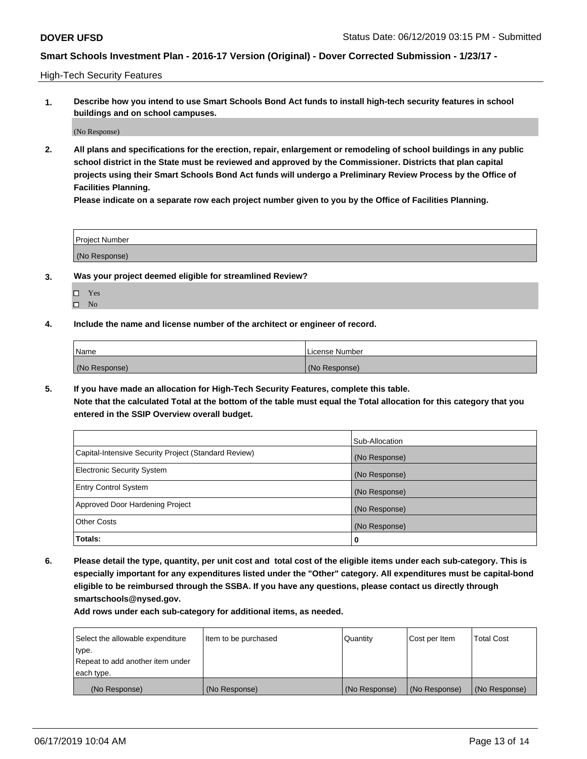High-Tech Security Features

**1. Describe how you intend to use Smart Schools Bond Act funds to install high-tech security features in school buildings and on school campuses.**

(No Response)

**2. All plans and specifications for the erection, repair, enlargement or remodeling of school buildings in any public school district in the State must be reviewed and approved by the Commissioner. Districts that plan capital projects using their Smart Schools Bond Act funds will undergo a Preliminary Review Process by the Office of Facilities Planning.** 

**Please indicate on a separate row each project number given to you by the Office of Facilities Planning.**

| <b>Project Number</b> |  |
|-----------------------|--|
| (No Response)         |  |

- **3. Was your project deemed eligible for streamlined Review?**
	- Yes
	- $\square$  No
- **4. Include the name and license number of the architect or engineer of record.**

| <b>Name</b>   | License Number |
|---------------|----------------|
| (No Response) | (No Response)  |

**5. If you have made an allocation for High-Tech Security Features, complete this table.**

**Note that the calculated Total at the bottom of the table must equal the Total allocation for this category that you entered in the SSIP Overview overall budget.**

|                                                      | Sub-Allocation |
|------------------------------------------------------|----------------|
| Capital-Intensive Security Project (Standard Review) | (No Response)  |
| <b>Electronic Security System</b>                    | (No Response)  |
| <b>Entry Control System</b>                          | (No Response)  |
| Approved Door Hardening Project                      | (No Response)  |
| <b>Other Costs</b>                                   | (No Response)  |
| Totals:                                              | 0              |

**6. Please detail the type, quantity, per unit cost and total cost of the eligible items under each sub-category. This is especially important for any expenditures listed under the "Other" category. All expenditures must be capital-bond eligible to be reimbursed through the SSBA. If you have any questions, please contact us directly through smartschools@nysed.gov.**

| Select the allowable expenditure | Item to be purchased | l Quantitv    | Cost per Item | <b>Total Cost</b> |
|----------------------------------|----------------------|---------------|---------------|-------------------|
| type.                            |                      |               |               |                   |
| Repeat to add another item under |                      |               |               |                   |
| each type.                       |                      |               |               |                   |
| (No Response)                    | (No Response)        | (No Response) | (No Response) | (No Response)     |